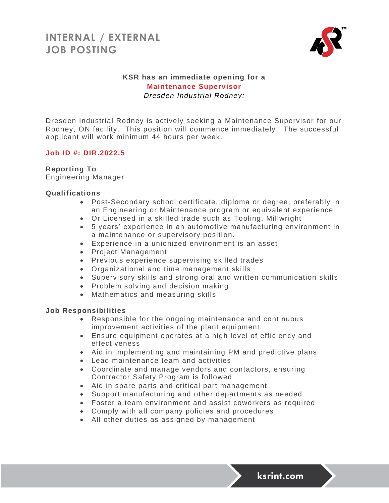

## **KSR has an immediate opening for a Maintenance Supervisor** *Dresden Industrial Rodney:*

Dresden Industrial Rodney is actively seeking a Maintenance Supervisor for our Rodney, ON facility. This position will commence immediately. The successful applicant will work minimum 44 hours per week.

### **Job ID #: DIR.2022.5**

### **Reporting To**

Engineering Manager

### **Qualifications**

- Post-Secondary school certificate, diploma or degree, preferably in an Engineering or Maintenance program or equivalent experience
- Or Licensed in a skilled trade such as Tooling, Millwright
- 5 years' experience in an automotive manufacturing environment in a maintenance or supervisory position.
- Experience in a unionized environment is an asset
- Project Management
- Previous experience supervising skilled trades
- Organizational and time management skills
- Supervisory skills and strong oral and written communication skills
- Problem solving and decision making
- Mathematics and measuring skills

### **Job Responsibilities**

- Responsible for the ongoing maintenance and continuous improvement activities of the plant equipment.
- Ensure equipment operates at a high level of efficiency and effectiveness
- Aid in implementing and maintaining PM and predictive plans
- Lead maintenance team and activities
- Coordinate and manage vendors and contactors, ensuring Contractor Safety Program is followed
- Aid in spare parts and critical part management
- Support manufacturing and other departments as needed
- Foster a team environment and assist coworkers as required
- Comply with all company policies and procedures
- All other duties as assigned by management